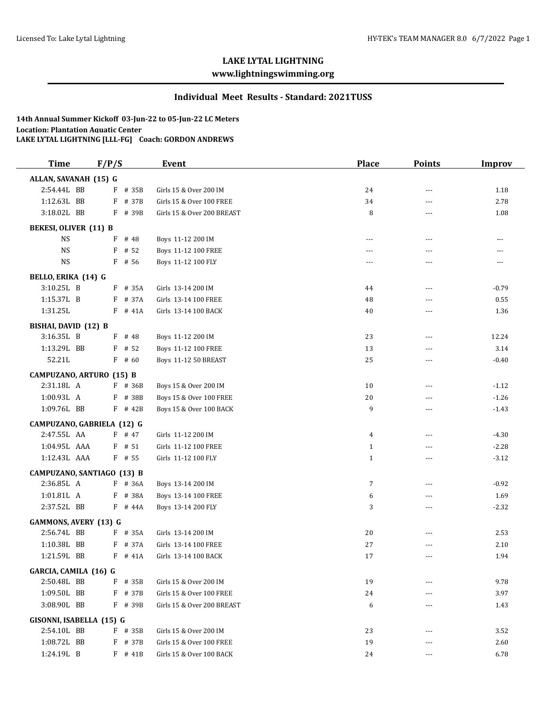# **LAKE LYTAL LIGHTNING**

## **www.lightningswimming.org**

#### **Individual Meet Results - Standard: 2021TUSS**

**14th Annual Summer Kickoff 03-Jun-22 to 05-Jun-22 LC Meters Location: Plantation Aquatic Center LAKE LYTAL LIGHTNING [LLL-FG] Coach: GORDON ANDREWS**

| <b>Time</b>                        | F/P/S      | <b>Event</b>               | <b>Place</b> | <b>Points</b> | <b>Improv</b> |
|------------------------------------|------------|----------------------------|--------------|---------------|---------------|
| ALLAN, SAVANAH (15) G              |            |                            |              |               |               |
| 2:54.44L BB                        | F # 35B    | Girls 15 & Over 200 IM     | 24           | ---           | 1.18          |
| 1:12.63L BB                        | F # 37B    | Girls 15 & Over 100 FREE   | 34           | ---           | 2.78          |
| 3:18.02L BB                        | F # 39B    | Girls 15 & Over 200 BREAST | 8            | ---           | 1.08          |
| <b>BEKESI, OLIVER (11) B</b>       |            |                            |              |               |               |
| <b>NS</b>                          | $F$ # 48   | Boys 11-12 200 IM          | ---          | $---$         | ---           |
| <b>NS</b>                          | F<br># 52  | Boys 11-12 100 FREE        | $---$        | $---$         | ---           |
| <b>NS</b>                          | $F$ # 56   | Boys 11-12 100 FLY         | ---          | ---           | ---           |
| BELLO, ERIKA (14) G                |            |                            |              |               |               |
| 3:10.25L B                         | $F$ # 35A  | Girls 13-14 200 IM         | 44           | ---           | $-0.79$       |
| 1:15.37L B                         | F # 37A    | Girls 13-14 100 FREE       | 48           | ---           | 0.55          |
| 1:31.25L                           | $F$ # 41A  | Girls 13-14 100 BACK       | 40           | ---           | 1.36          |
|                                    |            |                            |              |               |               |
| BISHAI, DAVID (12) B<br>3:16.35L B | $F$ # 48   | Boys 11-12 200 IM          |              | $\cdots$      |               |
| 1:13.29L BB                        | # 52<br>F  | Boys 11-12 100 FREE        | 23<br>13     | ---           | 12.24<br>3.14 |
| 52.21L                             | $F$ # 60   |                            | 25           | $---$         | $-0.40$       |
|                                    |            | Boys 11-12 50 BREAST       |              |               |               |
| CAMPUZANO, ARTURO (15) B           |            |                            |              |               |               |
| 2:31.18L A                         | F # 36B    | Boys 15 & Over 200 IM      | 10           | $- - -$       | $-1.12$       |
| 1:00.93L A                         | F # 38B    | Boys 15 & Over 100 FREE    | 20           | ---           | $-1.26$       |
| 1:09.76L BB                        | $F$ # 42B  | Boys 15 & Over 100 BACK    | 9            | $\cdots$      | $-1.43$       |
| CAMPUZANO, GABRIELA (12) G         |            |                            |              |               |               |
| 2:47.55L AA                        | $F$ # 47   | Girls 11-12 200 IM         | 4            | $---$         | $-4.30$       |
| 1:04.95L AAA                       | $F$ # 51   | Girls 11-12 100 FREE       | $\mathbf{1}$ | $---$         | $-2.28$       |
| 1:12.43L AAA                       | $F$ # 55   | Girls 11-12 100 FLY        | $\mathbf{1}$ | ---           | $-3.12$       |
| CAMPUZANO, SANTIAGO (13) B         |            |                            |              |               |               |
| 2:36.85L A                         | F # 36A    | Boys 13-14 200 IM          | 7            | ---           | $-0.92$       |
| 1:01.81L A                         | F # 38A    | Boys 13-14 100 FREE        | 6            | ---           | 1.69          |
| 2:37.52L BB                        | $F$ # 44A  | Boys 13-14 200 FLY         | 3            | $---$         | $-2.32$       |
| <b>GAMMONS, AVERY (13) G</b>       |            |                            |              |               |               |
| 2:56.74L BB                        | F # 35A    | Girls 13-14 200 IM         | 20           | $---$         | 2.53          |
| 1:10.38L BB                        | F # 37A    | Girls 13-14 100 FREE       | 27           | ---           | 2.10          |
| 1:21.59L BB                        | $F$ # 41A  | Girls 13-14 100 BACK       | 17           | $---$         | 1.94          |
| GARCIA, CAMILA (16) G              |            |                            |              |               |               |
| 2:50.48L BB                        | # 35B<br>F | Girls 15 & Over 200 IM     | 19           |               | 9.78          |
| 1:09.50L BB                        | F # 37B    | Girls 15 & Over 100 FREE   | 24           |               | 3.97          |
| 3:08.90L BB                        | $F$ # 39B  | Girls 15 & Over 200 BREAST | 6            |               | 1.43          |
|                                    |            |                            |              |               |               |
| GISONNI, ISABELLA (15) G           |            |                            |              |               |               |
| 2:54.10L BB                        | $F$ # 35B  | Girls 15 & Over 200 IM     | 23           |               | 3.52          |
| 1:08.72L BB                        | $F$ # 37B  | Girls 15 & Over 100 FREE   | 19           | ---           | 2.60          |
| 1:24.19L B                         | $F$ # 41B  | Girls 15 & Over 100 BACK   | 24           | ---           | 6.78          |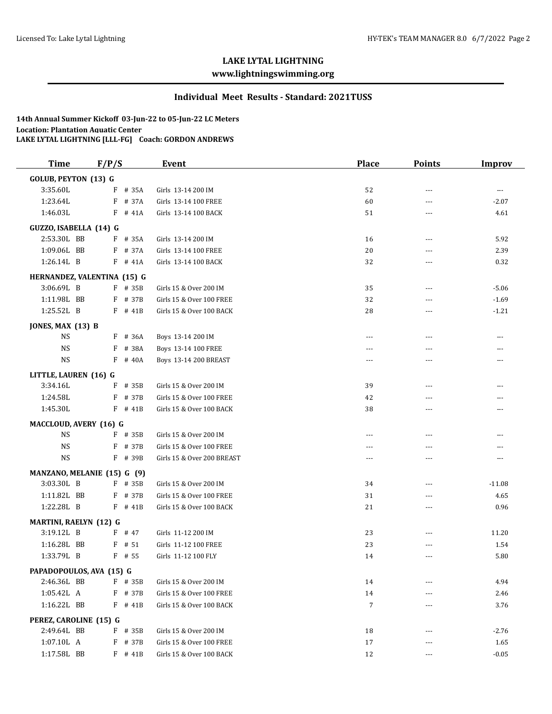## **LAKE LYTAL LIGHTNING**

### **www.lightningswimming.org**

#### **Individual Meet Results - Standard: 2021TUSS**

**14th Annual Summer Kickoff 03-Jun-22 to 05-Jun-22 LC Meters Location: Plantation Aquatic Center LAKE LYTAL LIGHTNING [LLL-FG] Coach: GORDON ANDREWS**

| <b>Time</b>                   | F/P/S |           | <b>Event</b>               | <b>Place</b> | <b>Points</b> | <b>Improv</b> |
|-------------------------------|-------|-----------|----------------------------|--------------|---------------|---------------|
| <b>GOLUB, PEYTON (13) G</b>   |       |           |                            |              |               |               |
| 3:35.60L                      |       | $F$ # 35A | Girls 13-14 200 IM         | 52           | ---           | $--$          |
| 1:23.64L                      | F     | # 37A     | Girls 13-14 100 FREE       | 60           | ---           | $-2.07$       |
| 1:46.03L                      |       | $F$ # 41A | Girls 13-14 100 BACK       | 51           | ---           | 4.61          |
| GUZZO, ISABELLA (14) G        |       |           |                            |              |               |               |
| 2:53.30L BB                   |       | $F$ # 35A | Girls 13-14 200 IM         | 16           | ---           | 5.92          |
| 1:09.06L BB                   |       | $F$ # 37A | Girls 13-14 100 FREE       | 20           | ---           | 2.39          |
| 1:26.14L B                    |       | $F$ # 41A | Girls 13-14 100 BACK       | 32           | $- - -$       | 0.32          |
| HERNANDEZ, VALENTINA (15) G   |       |           |                            |              |               |               |
| 3:06.69L B                    |       | $F$ # 35B | Girls 15 & Over 200 IM     | 35           | ---           | $-5.06$       |
| 1:11.98L BB                   |       | F # 37B   | Girls 15 & Over 100 FREE   | 32           | ---           | $-1.69$       |
| 1:25.52L B                    |       | $F$ # 41B | Girls 15 & Over 100 BACK   | 28           | ---           | $-1.21$       |
| JONES, MAX (13) B             |       |           |                            |              |               |               |
| <b>NS</b>                     |       | $F$ # 36A | Boys 13-14 200 IM          | ---          | ---           | ---           |
| <b>NS</b>                     | F     | # 38A     | Boys 13-14 100 FREE        | $- - -$      | ---           | ---           |
| <b>NS</b>                     | F     | # 40A     | Boys 13-14 200 BREAST      | ---          | ---           | ---           |
|                               |       |           |                            |              |               |               |
| LITTLE, LAUREN (16) G         |       |           |                            |              |               |               |
| 3:34.16L                      |       | $F$ # 35B | Girls 15 & Over 200 IM     | 39           | ---           | ---           |
| 1:24.58L                      | F     | # 37B     | Girls 15 & Over 100 FREE   | 42           | ---           | ---           |
| 1:45.30L                      |       | $F$ # 41B | Girls 15 & Over 100 BACK   | 38           | ---           | ---           |
| MACCLOUD, AVERY (16) G        |       |           |                            |              |               |               |
| <b>NS</b>                     |       | $F$ # 35B | Girls 15 & Over 200 IM     | ---          | ---           | ---           |
| <b>NS</b>                     | F     | # 37B     | Girls 15 & Over 100 FREE   | ---          | ---           | ---           |
| <b>NS</b>                     |       | F # 39B   | Girls 15 & Over 200 BREAST | $- - -$      | ---           | ---           |
| MANZANO, MELANIE (15) G (9)   |       |           |                            |              |               |               |
| 3:03.30L B                    |       | $F$ # 35B | Girls 15 & Over 200 IM     | 34           | ---           | $-11.08$      |
| 1:11.82L BB                   |       | F # 37B   | Girls 15 & Over 100 FREE   | 31           | ---           | 4.65          |
| 1:22.28L B                    |       | $F$ # 41B | Girls 15 & Over 100 BACK   | 21           | $- - -$       | 0.96          |
| <b>MARTINI, RAELYN (12) G</b> |       |           |                            |              |               |               |
| 3:19.12L B                    |       | $F$ # 47  | Girls 11-12 200 IM         | 23           | ---           | 11.20         |
| 1:16.28L BB                   | F     | # 51      | Girls 11-12 100 FREE       | 23           | ---           | 1.54          |
| 1:33.79L B                    |       | $F$ # 55  | Girls 11-12 100 FLY        | 14           | ---           | 5.80          |
| PAPADOPOULOS, AVA (15) G      |       |           |                            |              |               |               |
| 2:46.36L BB                   |       | F # 35B   | Girls 15 & Over 200 IM     | 14           |               | 4.94          |
| 1:05.42L A                    |       | F # 37B   | Girls 15 & Over 100 FREE   | 14           |               | 2.46          |
| 1:16.22L BB                   |       | $F$ # 41B | Girls 15 & Over 100 BACK   | 7            | ---           | 3.76          |
| PEREZ, CAROLINE (15) G        |       |           |                            |              |               |               |
| 2:49.64L BB                   |       | $F$ # 35B | Girls 15 & Over 200 IM     | 18           | ---           | $-2.76$       |
| 1:07.10L A                    |       | F # 37B   | Girls 15 & Over 100 FREE   | 17           | ---           | 1.65          |
| 1:17.58L BB                   |       | $F$ # 41B | Girls 15 & Over 100 BACK   | 12           | ---           | $-0.05$       |
|                               |       |           |                            |              |               |               |